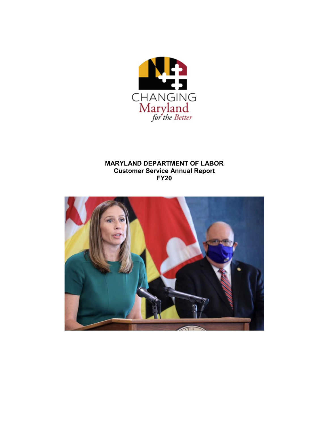

# MARYLAND DEPARTMENT OF LABOR Customer Service Annual Report FY20

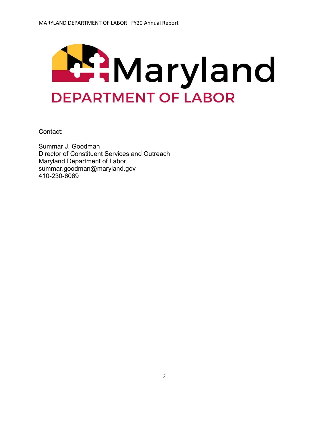

Contact:

Summar J. Goodman Director of Constituent Services and Outreach Maryland Department of Labor summar.goodman@maryland.gov 410-230-6069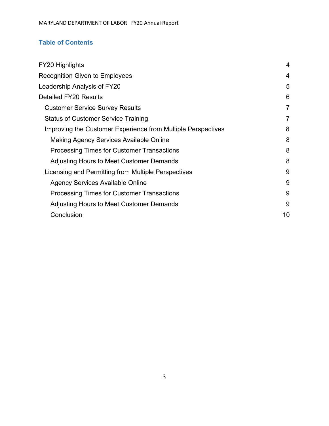# Table of Contents

| FY20 Highlights                                              | 4              |
|--------------------------------------------------------------|----------------|
| <b>Recognition Given to Employees</b>                        | 4              |
| Leadership Analysis of FY20                                  | 5              |
| <b>Detailed FY20 Results</b>                                 | 6              |
| <b>Customer Service Survey Results</b>                       | $\overline{7}$ |
| <b>Status of Customer Service Training</b>                   | $\overline{7}$ |
| Improving the Customer Experience from Multiple Perspectives | 8              |
| Making Agency Services Available Online                      | 8              |
| <b>Processing Times for Customer Transactions</b>            | 8              |
| Adjusting Hours to Meet Customer Demands                     | 8              |
| Licensing and Permitting from Multiple Perspectives          | 9              |
| <b>Agency Services Available Online</b>                      | 9              |
| <b>Processing Times for Customer Transactions</b>            | 9              |
| Adjusting Hours to Meet Customer Demands                     | 9              |
| Conclusion                                                   | 10             |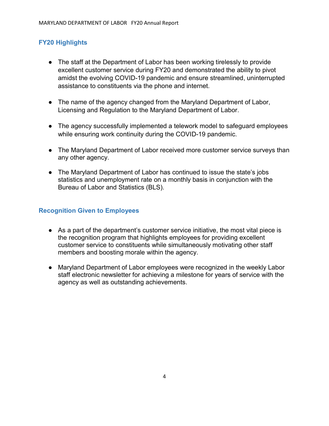# FY20 Highlights

- The staff at the Department of Labor has been working tirelessly to provide excellent customer service during FY20 and demonstrated the ability to pivot amidst the evolving COVID-19 pandemic and ensure streamlined, uninterrupted assistance to constituents via the phone and internet.
- The name of the agency changed from the Maryland Department of Labor, Licensing and Regulation to the Maryland Department of Labor.
- The agency successfully implemented a telework model to safeguard employees while ensuring work continuity during the COVID-19 pandemic.
- The Maryland Department of Labor received more customer service surveys than any other agency.
- The Maryland Department of Labor has continued to issue the state's jobs statistics and unemployment rate on a monthly basis in conjunction with the Bureau of Labor and Statistics (BLS).

# Recognition Given to Employees

- As a part of the department's customer service initiative, the most vital piece is the recognition program that highlights employees for providing excellent customer service to constituents while simultaneously motivating other staff members and boosting morale within the agency.
- Maryland Department of Labor employees were recognized in the weekly Labor staff electronic newsletter for achieving a milestone for years of service with the agency as well as outstanding achievements.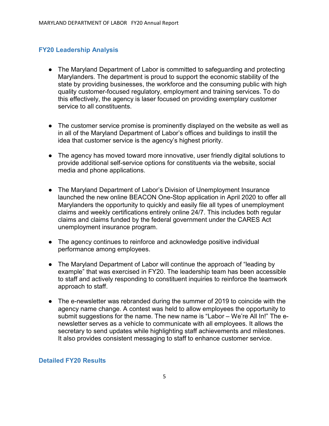## FY20 Leadership Analysis

- The Maryland Department of Labor is committed to safeguarding and protecting Marylanders. The department is proud to support the economic stability of the state by providing businesses, the workforce and the consuming public with high quality customer-focused regulatory, employment and training services. To do this effectively, the agency is laser focused on providing exemplary customer service to all constituents.
- The customer service promise is prominently displayed on the website as well as in all of the Maryland Department of Labor's offices and buildings to instill the idea that customer service is the agency's highest priority.
- The agency has moved toward more innovative, user friendly digital solutions to provide additional self-service options for constituents via the website, social media and phone applications.
- The Maryland Department of Labor's Division of Unemployment Insurance launched the new online BEACON One-Stop application in April 2020 to offer all Marylanders the opportunity to quickly and easily file all types of unemployment claims and weekly certifications entirely online 24/7. This includes both regular claims and claims funded by the federal government under the CARES Act unemployment insurance program.
- The agency continues to reinforce and acknowledge positive individual performance among employees.
- The Maryland Department of Labor will continue the approach of "leading by example" that was exercised in FY20. The leadership team has been accessible to staff and actively responding to constituent inquiries to reinforce the teamwork approach to staff.
- The e-newsletter was rebranded during the summer of 2019 to coincide with the agency name change. A contest was held to allow employees the opportunity to submit suggestions for the name. The new name is "Labor – We're All In!" The enewsletter serves as a vehicle to communicate with all employees. It allows the secretary to send updates while highlighting staff achievements and milestones. It also provides consistent messaging to staff to enhance customer service.

### Detailed FY20 Results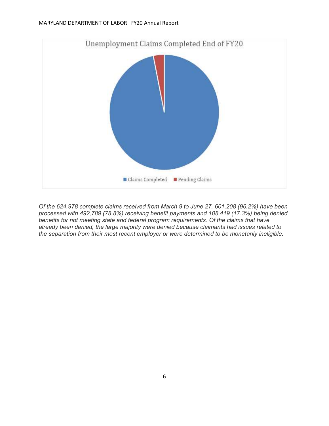

Of the 624,978 complete claims received from March 9 to June 27, 601,208 (96.2%) have been processed with 492,789 (78.8%) receiving benefit payments and 108,419 (17.3%) being denied benefits for not meeting state and federal program requirements. Of the claims that have already been denied, the large majority were denied because claimants had issues related to the separation from their most recent employer or were determined to be monetarily ineligible.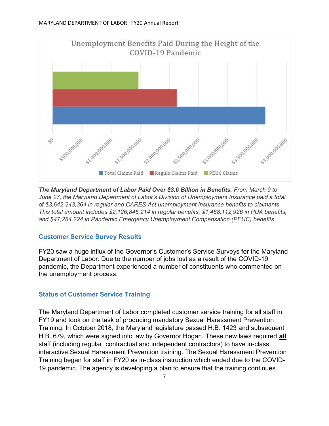

The Maryland Department of Labor Paid Over \$3.6 Billion in Benefits. From March 9 to June 27, the Maryland Department of Labor's Division of Unemployment Insurance paid a total of \$3,642,243,364 in regular and CARES Act unemployment insurance benefits to claimants. This total amount includes \$2,126,846,214 in regular benefits, \$1,468,112,926 in PUA benefits, and \$47,284,224 in Pandemic Emergency Unemployment Compensation (PEUC) benefits.

# Customer Service Survey Results

FY20 saw a huge influx of the Governor's Customer's Service Surveys for the Maryland Department of Labor. Due to the number of jobs lost as a result of the COVID-19 pandemic, the Department experienced a number of constituents who commented on the unemployment process.

# Status of Customer Service Training

The Maryland Department of Labor completed customer service training for all staff in FY19 and took on the task of producing mandatory Sexual Harassment Prevention Training. In October 2018, the Maryland legislature passed H.B. 1423 and subsequent H.B. 679, which were signed into law by Governor Hogan. These new laws required **all** staff (including regular, contractual and independent contractors) to have in-class, interactive Sexual Harassment Prevention training. The Sexual Harassment Prevention Training began for staff in FY20 as in-class instruction which ended due to the COVID-19 pandemic. The agency is developing a plan to ensure that the training continues.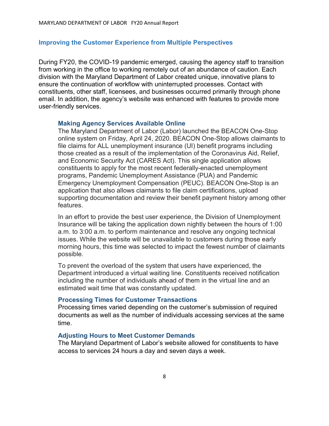### Improving the Customer Experience from Multiple Perspectives

During FY20, the COVID-19 pandemic emerged, causing the agency staff to transition from working in the office to working remotely out of an abundance of caution. Each division with the Maryland Department of Labor created unique, innovative plans to ensure the continuation of workflow with uninterrupted processes. Contact with constituents, other staff, licensees, and businesses occurred primarily through phone email. In addition, the agency's website was enhanced with features to provide more user-friendly services.

#### Making Agency Services Available Online

The Maryland Department of Labor (Labor) launched the BEACON One-Stop online system on Friday, April 24, 2020. BEACON One-Stop allows claimants to file claims for ALL unemployment insurance (UI) benefit programs including those created as a result of the implementation of the Coronavirus Aid, Relief, and Economic Security Act (CARES Act). This single application allows constituents to apply for the most recent federally-enacted unemployment programs, Pandemic Unemployment Assistance (PUA) and Pandemic Emergency Unemployment Compensation (PEUC). BEACON One-Stop is an application that also allows claimants to file claim certifications, upload supporting documentation and review their benefit payment history among other features.

In an effort to provide the best user experience, the Division of Unemployment Insurance will be taking the application down nightly between the hours of 1:00 a.m. to 3:00 a.m. to perform maintenance and resolve any ongoing technical issues. While the website will be unavailable to customers during those early morning hours, this time was selected to impact the fewest number of claimants possible.

To prevent the overload of the system that users have experienced, the Department introduced a virtual waiting line. Constituents received notification including the number of individuals ahead of them in the virtual line and an estimated wait time that was constantly updated.

### Processing Times for Customer Transactions

Processing times varied depending on the customer's submission of required documents as well as the number of individuals accessing services at the same time.

#### Adjusting Hours to Meet Customer Demands

The Maryland Department of Labor's website allowed for constituents to have access to services 24 hours a day and seven days a week.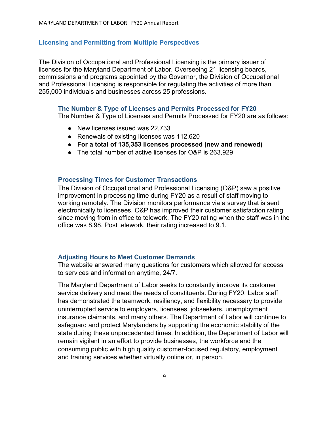### Licensing and Permitting from Multiple Perspectives

The Division of Occupational and Professional Licensing is the primary issuer of licenses for the Maryland Department of Labor. Overseeing 21 licensing boards, commissions and programs appointed by the Governor, the Division of Occupational and Professional Licensing is responsible for regulating the activities of more than 255,000 individuals and businesses across 25 professions.

#### The Number & Type of Licenses and Permits Processed for FY20

The Number & Type of Licenses and Permits Processed for FY20 are as follows:

- New licenses issued was 22,733
- Renewals of existing licenses was 112,620
- For a total of 135,353 licenses processed (new and renewed)
- The total number of active licenses for O&P is 263,929

### Processing Times for Customer Transactions

The Division of Occupational and Professional Licensing (O&P) saw a positive improvement in processing time during FY20 as a result of staff moving to working remotely. The Division monitors performance via a survey that is sent electronically to licensees. O&P has improved their customer satisfaction rating since moving from in office to telework. The FY20 rating when the staff was in the office was 8.98. Post telework, their rating increased to 9.1.

### Adjusting Hours to Meet Customer Demands

The website answered many questions for customers which allowed for access to services and information anytime, 24/7.

The Maryland Department of Labor seeks to constantly improve its customer service delivery and meet the needs of constituents. During FY20, Labor staff has demonstrated the teamwork, resiliency, and flexibility necessary to provide uninterrupted service to employers, licensees, jobseekers, unemployment insurance claimants, and many others. The Department of Labor will continue to safeguard and protect Marylanders by supporting the economic stability of the state during these unprecedented times. In addition, the Department of Labor will remain vigilant in an effort to provide businesses, the workforce and the consuming public with high quality customer-focused regulatory, employment and training services whether virtually online or, in person.